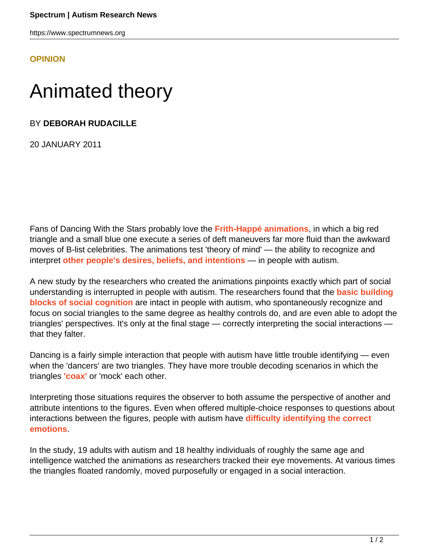https://www.spectrumnews.org

**[OPINION](HTTPS://WWW.SPECTRUMNEWS.ORG/OPINION/)**

## Animated theory

BY **DEBORAH RUDACILLE**

20 JANUARY 2011

Fans of Dancing With the Stars probably love the **[Frith-Happé animations](http://www.icn.ucl.ac.uk/dev_group/ufrith/movies/dancing.avi)**, in which a big red triangle and a small blue one execute a series of deft maneuvers far more fluid than the awkward moves of B-list celebrities. The animations test 'theory of mind' — the ability to recognize and interpret **[other people's desires, beliefs, and intentions](https://www.spectrumnews.org/classic-paper-reviews/2008/1985-paper-on-the-theory-of-mind-commentary-by-rebecca-saxe)** — in people with autism.

A new study by the researchers who created the animations pinpoints exactly which part of social understanding is interrupted in people with autism. The researchers found that the **[basic building](http://scan.oxfordjournals.org/content/early/2010/10/07/scan.nsq088.abstract) [blocks of social cognition](http://scan.oxfordjournals.org/content/early/2010/10/07/scan.nsq088.abstract)** are intact in people with autism, who spontaneously recognize and focus on social triangles to the same degree as healthy controls do, and are even able to adopt the triangles' perspectives. It's only at the final stage — correctly interpreting the social interactions that they falter.

Dancing is a fairly simple interaction that people with autism have little trouble identifying — even when the 'dancers' are two triangles. They have more trouble decoding scenarios in which the triangles **['coax'](http://www.icn.ucl.ac.uk/dev_group/ufrith/movies/coaxing.avi)** or 'mock' each other.

Interpreting those situations requires the observer to both assume the perspective of another and attribute intentions to the figures. Even when offered multiple-choice responses to questions about interactions between the figures, people with autism have **[difficulty identifying the correct](http://www.ncbi.nlm.nih.gov/pubmed/%2021210461) [emotions](http://www.ncbi.nlm.nih.gov/pubmed/%2021210461)**.

In the study, 19 adults with autism and 18 healthy individuals of roughly the same age and intelligence watched the animations as researchers tracked their eye movements. At various times the triangles floated randomly, moved purposefully or engaged in a social interaction.